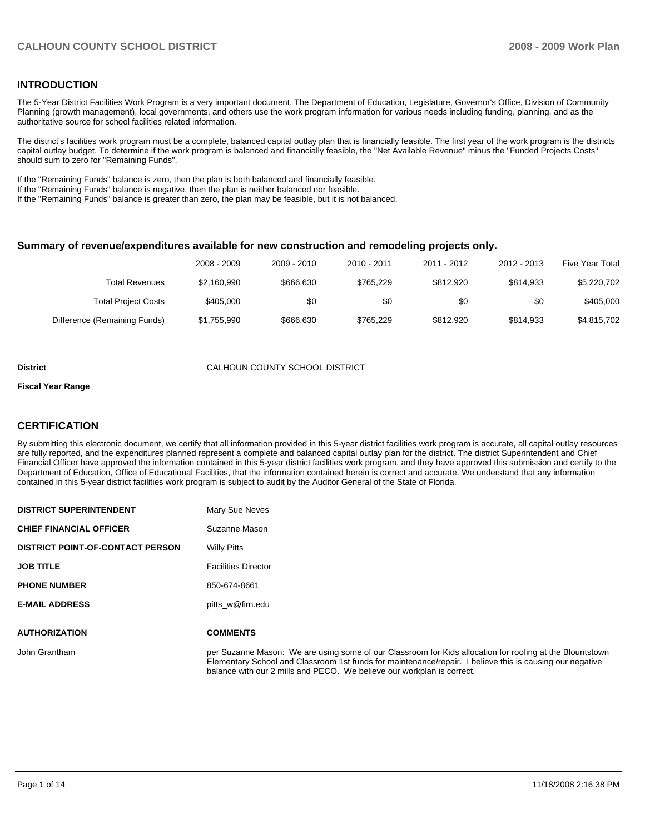### **INTRODUCTION**

The 5-Year District Facilities Work Program is a very important document. The Department of Education, Legislature, Governor's Office, Division of Community Planning (growth management), local governments, and others use the work program information for various needs including funding, planning, and as the authoritative source for school facilities related information.

The district's facilities work program must be a complete, balanced capital outlay plan that is financially feasible. The first year of the work program is the districts capital outlay budget. To determine if the work program is balanced and financially feasible, the "Net Available Revenue" minus the "Funded Projects Costs" should sum to zero for "Remaining Funds".

If the "Remaining Funds" balance is zero, then the plan is both balanced and financially feasible.

If the "Remaining Funds" balance is negative, then the plan is neither balanced nor feasible.

If the "Remaining Funds" balance is greater than zero, the plan may be feasible, but it is not balanced.

#### **Summary of revenue/expenditures available for new construction and remodeling projects only.**

| Five Year Total | 2012 - 2013 | 2011 - 2012 | 2010 - 2011 | 2009 - 2010 | 2008 - 2009 |                              |
|-----------------|-------------|-------------|-------------|-------------|-------------|------------------------------|
| \$5,220,702     | \$814.933   | \$812,920   | \$765.229   | \$666.630   | \$2,160,990 | Total Revenues               |
| \$405,000       | \$0         | \$0         | \$0         | \$0         | \$405,000   | <b>Total Project Costs</b>   |
| \$4,815,702     | \$814.933   | \$812,920   | \$765.229   | \$666.630   | \$1,755,990 | Difference (Remaining Funds) |

#### **District CALHOUN COUNTY SCHOOL DISTRICT**

#### **Fiscal Year Range**

#### **CERTIFICATION**

By submitting this electronic document, we certify that all information provided in this 5-year district facilities work program is accurate, all capital outlay resources are fully reported, and the expenditures planned represent a complete and balanced capital outlay plan for the district. The district Superintendent and Chief Financial Officer have approved the information contained in this 5-year district facilities work program, and they have approved this submission and certify to the Department of Education, Office of Educational Facilities, that the information contained herein is correct and accurate. We understand that any information contained in this 5-year district facilities work program is subject to audit by the Auditor General of the State of Florida.

| <b>DISTRICT SUPERINTENDENT</b>          | Mary Sue Neves                                                                                                                                                                                                                                                                                 |
|-----------------------------------------|------------------------------------------------------------------------------------------------------------------------------------------------------------------------------------------------------------------------------------------------------------------------------------------------|
| <b>CHIEF FINANCIAL OFFICER</b>          | Suzanne Mason                                                                                                                                                                                                                                                                                  |
| <b>DISTRICT POINT-OF-CONTACT PERSON</b> | <b>Willy Pitts</b>                                                                                                                                                                                                                                                                             |
| <b>JOB TITLE</b>                        | <b>Facilities Director</b>                                                                                                                                                                                                                                                                     |
| <b>PHONE NUMBER</b>                     | 850-674-8661                                                                                                                                                                                                                                                                                   |
| <b>E-MAIL ADDRESS</b>                   | pitts w@firn.edu                                                                                                                                                                                                                                                                               |
|                                         |                                                                                                                                                                                                                                                                                                |
| <b>AUTHORIZATION</b>                    | <b>COMMENTS</b>                                                                                                                                                                                                                                                                                |
| John Grantham                           | per Suzanne Mason: We are using some of our Classroom for Kids allocation for roofing at the Blountstown<br>Elementary School and Classroom 1st funds for maintenance/repair. I believe this is causing our negative<br>balance with our 2 mills and PECO. We believe our workplan is correct. |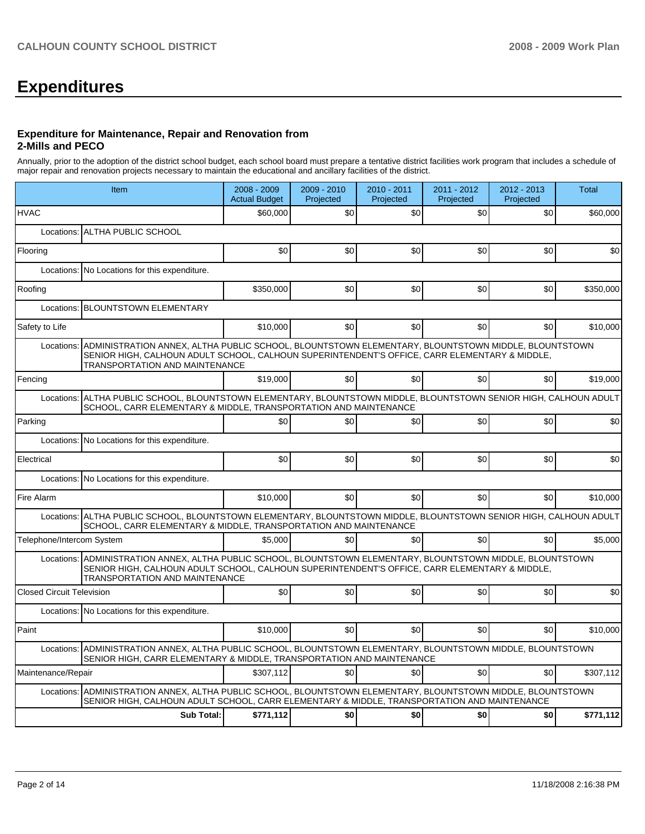# **Expenditures**

#### **Expenditure for Maintenance, Repair and Renovation from 2-Mills and PECO**

Annually, prior to the adoption of the district school budget, each school board must prepare a tentative district facilities work program that includes a schedule of major repair and renovation projects necessary to maintain the educational and ancillary facilities of the district.

| Item                                                                                                                                                                                                                                                       | $2008 - 2009$<br><b>Actual Budget</b> | $2009 - 2010$<br>Projected | 2010 - 2011<br>Projected | 2011 - 2012<br>Projected | 2012 - 2013<br>Projected | <b>Total</b> |  |  |  |  |
|------------------------------------------------------------------------------------------------------------------------------------------------------------------------------------------------------------------------------------------------------------|---------------------------------------|----------------------------|--------------------------|--------------------------|--------------------------|--------------|--|--|--|--|
| <b>HVAC</b>                                                                                                                                                                                                                                                | \$60,000                              | \$0                        | \$0                      | \$0                      | \$0                      | \$60,000     |  |  |  |  |
| Locations: ALTHA PUBLIC SCHOOL                                                                                                                                                                                                                             |                                       |                            |                          |                          |                          |              |  |  |  |  |
| Flooring                                                                                                                                                                                                                                                   | \$0                                   | \$0                        | \$0                      | \$0                      | \$0                      | \$0          |  |  |  |  |
| Locations: No Locations for this expenditure.                                                                                                                                                                                                              |                                       |                            |                          |                          |                          |              |  |  |  |  |
| Roofing                                                                                                                                                                                                                                                    | \$350,000                             | \$0                        | \$0                      | \$0                      | \$0                      | \$350,000    |  |  |  |  |
| Locations: BLOUNTSTOWN ELEMENTARY                                                                                                                                                                                                                          |                                       |                            |                          |                          |                          |              |  |  |  |  |
| Safety to Life                                                                                                                                                                                                                                             | \$10,000                              | \$0                        | \$0                      | \$0                      | \$0                      | \$10,000     |  |  |  |  |
| ADMINISTRATION ANNEX, ALTHA PUBLIC SCHOOL, BLOUNTSTOWN ELEMENTARY, BLOUNTSTOWN MIDDLE, BLOUNTSTOWN<br>Locations:<br>SENIOR HIGH, CALHOUN ADULT SCHOOL, CALHOUN SUPERINTENDENT'S OFFICE, CARR ELEMENTARY & MIDDLE,<br><b>TRANSPORTATION AND MAINTENANCE</b> |                                       |                            |                          |                          |                          |              |  |  |  |  |
| Fencing                                                                                                                                                                                                                                                    | \$19,000                              | \$0                        | \$0                      | \$0                      | \$0                      | \$19,000     |  |  |  |  |
| Locations: ALTHA PUBLIC SCHOOL, BLOUNTSTOWN ELEMENTARY, BLOUNTSTOWN MIDDLE, BLOUNTSTOWN SENIOR HIGH, CALHOUN ADULT<br>SCHOOL, CARR ELEMENTARY & MIDDLE, TRANSPORTATION AND MAINTENANCE                                                                     |                                       |                            |                          |                          |                          |              |  |  |  |  |
| Parking                                                                                                                                                                                                                                                    | \$0                                   | \$0                        | \$0                      | \$0                      | \$0                      | \$0          |  |  |  |  |
| Locations: No Locations for this expenditure.                                                                                                                                                                                                              |                                       |                            |                          |                          |                          |              |  |  |  |  |
| Electrical                                                                                                                                                                                                                                                 | \$0                                   | \$0                        | \$0                      | \$0                      | \$0                      | \$0          |  |  |  |  |
| Locations: No Locations for this expenditure.                                                                                                                                                                                                              |                                       |                            |                          |                          |                          |              |  |  |  |  |
| Fire Alarm                                                                                                                                                                                                                                                 | \$10,000                              | \$0                        | \$0                      | \$0 <sub>1</sub>         | \$0                      | \$10,000     |  |  |  |  |
| Locations: ALTHA PUBLIC SCHOOL, BLOUNTSTOWN ELEMENTARY, BLOUNTSTOWN MIDDLE, BLOUNTSTOWN SENIOR HIGH, CALHOUN ADULT<br>SCHOOL, CARR ELEMENTARY & MIDDLE, TRANSPORTATION AND MAINTENANCE                                                                     |                                       |                            |                          |                          |                          |              |  |  |  |  |
| Telephone/Intercom System                                                                                                                                                                                                                                  | \$5,000                               | \$0                        | \$0                      | \$0                      | \$0                      | \$5,000      |  |  |  |  |
| Locations: ADMINISTRATION ANNEX, ALTHA PUBLIC SCHOOL, BLOUNTSTOWN ELEMENTARY, BLOUNTSTOWN MIDDLE, BLOUNTSTOWN<br>SENIOR HIGH, CALHOUN ADULT SCHOOL, CALHOUN SUPERINTENDENT'S OFFICE, CARR ELEMENTARY & MIDDLE,<br>TRANSPORTATION AND MAINTENANCE           |                                       |                            |                          |                          |                          |              |  |  |  |  |
| <b>Closed Circuit Television</b>                                                                                                                                                                                                                           | \$0                                   | \$0                        | \$0                      | \$0                      | \$0                      | \$0          |  |  |  |  |
| Locations: No Locations for this expenditure.                                                                                                                                                                                                              |                                       |                            |                          |                          |                          |              |  |  |  |  |
| Paint                                                                                                                                                                                                                                                      | \$10,000                              | \$0                        | \$0                      | \$0                      | \$0                      | \$10,000     |  |  |  |  |
| Locations: ADMINISTRATION ANNEX, ALTHA PUBLIC SCHOOL, BLOUNTSTOWN ELEMENTARY, BLOUNTSTOWN MIDDLE, BLOUNTSTOWN<br>SENIOR HIGH, CARR ELEMENTARY & MIDDLE, TRANSPORTATION AND MAINTENANCE                                                                     |                                       |                            |                          |                          |                          |              |  |  |  |  |
| Maintenance/Repair                                                                                                                                                                                                                                         | \$307,112                             | \$0                        | \$0                      | \$0                      | \$0                      | \$307,112    |  |  |  |  |
| ADMINISTRATION ANNEX, ALTHA PUBLIC SCHOOL, BLOUNTSTOWN ELEMENTARY, BLOUNTSTOWN MIDDLE, BLOUNTSTOWN<br>Locations:<br>SENIOR HIGH, CALHOUN ADULT SCHOOL, CARR ELEMENTARY & MIDDLE, TRANSPORTATION AND MAINTENANCE                                            |                                       |                            |                          |                          |                          |              |  |  |  |  |
| <b>Sub Total:</b>                                                                                                                                                                                                                                          | \$771,112                             | \$0                        | \$0                      | \$0                      | \$0                      | \$771,112    |  |  |  |  |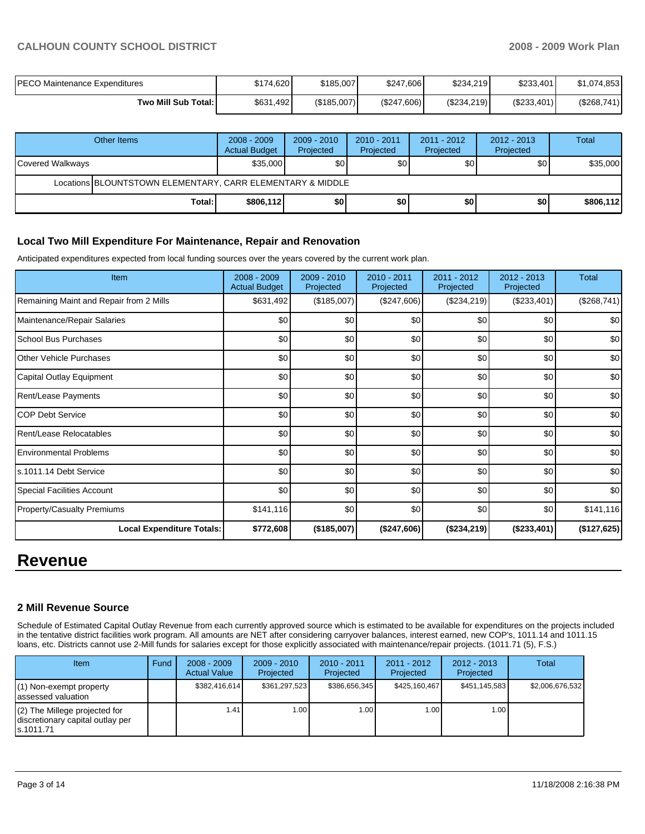## **CALHOUN COUNTY SCHOOL DISTRICT 2008 - 2009 Work Plan**

| <b>PECO Maintenance Expenditures</b> | \$174,620 | \$185,007   | \$247,606   | \$234,219     | \$233,401   | \$1,074,853 |
|--------------------------------------|-----------|-------------|-------------|---------------|-------------|-------------|
| Two Mill Sub Total:                  | \$631,492 | (\$185,007) | (\$247,606) | $(\$234,219)$ | (\$233,401) | (\$268,741) |

|                  | Other Items                                                | $2008 - 2009$<br><b>Actual Budget</b> | $2009 - 2010$<br>Projected | $2010 - 2011$<br>Projected | $2011 - 2012$<br>Projected | $2012 - 2013$<br>Projected | <b>Total</b> |
|------------------|------------------------------------------------------------|---------------------------------------|----------------------------|----------------------------|----------------------------|----------------------------|--------------|
| Covered Walkways |                                                            | \$35,000                              | \$0                        | 30                         | \$0                        | \$0 <sub>1</sub>           | \$35,000     |
|                  | Locations BLOUNTSTOWN ELEMENTARY, CARR ELEMENTARY & MIDDLE |                                       |                            |                            |                            |                            |              |
|                  | Total:                                                     | \$806,112                             | \$0                        | \$0 <sub>1</sub>           | \$0                        | \$OI                       | \$806,112    |

## **Local Two Mill Expenditure For Maintenance, Repair and Renovation**

Anticipated expenditures expected from local funding sources over the years covered by the current work plan.

| Item                                    | $2008 - 2009$<br><b>Actual Budget</b> | 2009 - 2010<br>Projected | $2010 - 2011$<br>Projected | $2011 - 2012$<br>Projected | $2012 - 2013$<br>Projected | <b>Total</b> |
|-----------------------------------------|---------------------------------------|--------------------------|----------------------------|----------------------------|----------------------------|--------------|
| Remaining Maint and Repair from 2 Mills | \$631,492                             | (\$185,007)              | (\$247,606)                | (\$234,219)                | (\$233,401)                | (\$268,741)  |
| Maintenance/Repair Salaries             | \$0                                   | \$0                      | \$0                        | \$0                        | \$0                        | \$0          |
| <b>School Bus Purchases</b>             | \$0                                   | \$0                      | \$0                        | \$0                        | \$0                        | \$0          |
| Other Vehicle Purchases                 | \$0                                   | \$0                      | \$0                        | \$0                        | \$0                        | \$0          |
| Capital Outlay Equipment                | \$0                                   | \$0                      | \$0                        | \$0                        | \$0                        | \$0          |
| Rent/Lease Payments                     | \$0                                   | \$0                      | \$0                        | \$0                        | \$0                        | \$0          |
| <b>COP Debt Service</b>                 | \$0                                   | \$0                      | \$0                        | \$0                        | \$0                        | \$0          |
| Rent/Lease Relocatables                 | \$0                                   | \$0                      | \$0                        | \$0                        | \$0                        | \$0          |
| Environmental Problems                  | \$0                                   | \$0                      | \$0                        | \$0                        | \$0                        | \$0          |
| s.1011.14 Debt Service                  | \$0                                   | \$0                      | \$0                        | \$0                        | \$0                        | \$0          |
| <b>Special Facilities Account</b>       | \$0                                   | \$0                      | \$0                        | \$0                        | \$0                        | \$0          |
| Property/Casualty Premiums              | \$141,116                             | \$0                      | \$0                        | \$0                        | \$0                        | \$141,116    |
| <b>Local Expenditure Totals:</b>        | \$772,608                             | (\$185,007)              | (\$247,606)                | (\$234,219)                | (\$233,401)                | (\$127,625)  |

## **Revenue**

## **2 Mill Revenue Source**

Schedule of Estimated Capital Outlay Revenue from each currently approved source which is estimated to be available for expenditures on the projects included in the tentative district facilities work program. All amounts are NET after considering carryover balances, interest earned, new COP's, 1011.14 and 1011.15 loans, etc. Districts cannot use 2-Mill funds for salaries except for those explicitly associated with maintenance/repair projects. (1011.71 (5), F.S.)

| Item                                                                                | Fund | $2008 - 2009$<br><b>Actual Value</b> | $2009 - 2010$<br>Projected | $2010 - 2011$<br>Projected | $2011 - 2012$<br>Projected | $2012 - 2013$<br>Projected | Total           |
|-------------------------------------------------------------------------------------|------|--------------------------------------|----------------------------|----------------------------|----------------------------|----------------------------|-----------------|
| $(1)$ Non-exempt property<br>lassessed valuation                                    |      | \$382,416,614                        | \$361,297,523              | \$386,656,345              | \$425,160,467              | \$451,145,583              | \$2,006,676,532 |
| $(2)$ The Millege projected for<br>I discretionary capital outlay per<br>Is.1011.71 |      | 1.41                                 | 1.00                       | 1.00                       | 1.00                       | 1.00 <sub>l</sub>          |                 |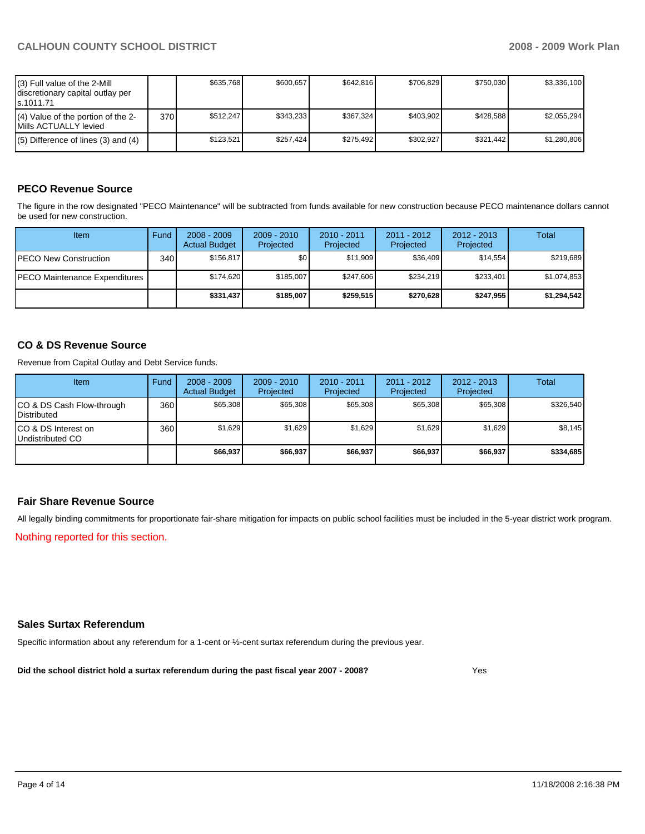| (3) Full value of the 2-Mill<br>I discretionary capital outlay per<br>ls.1011.71 |     | \$635.768 | \$600.657 | \$642.816 | \$706.829 | \$750.030 | \$3,336,100 |
|----------------------------------------------------------------------------------|-----|-----------|-----------|-----------|-----------|-----------|-------------|
| (4) Value of the portion of the 2-<br>Mills ACTUALLY levied                      | 370 | \$512.247 | \$343.233 | \$367.324 | \$403.902 | \$428.588 | \$2.055.294 |
| $(5)$ Difference of lines (3) and (4)                                            |     | \$123.521 | \$257.424 | \$275.492 | \$302.927 | \$321.442 | \$1.280.806 |

## **PECO Revenue Source**

The figure in the row designated "PECO Maintenance" will be subtracted from funds available for new construction because PECO maintenance dollars cannot be used for new construction.

| Item                                 | Fund         | $2008 - 2009$<br><b>Actual Budget</b> | $2009 - 2010$<br>Projected | $2010 - 2011$<br>Projected | 2011 - 2012<br>Projected | $2012 - 2013$<br>Projected | Total       |
|--------------------------------------|--------------|---------------------------------------|----------------------------|----------------------------|--------------------------|----------------------------|-------------|
| <b>IPECO New Construction</b>        | 340 <b>I</b> | \$156.817                             | \$0                        | \$11.909                   | \$36.409                 | \$14.554                   | \$219,689   |
| <b>PECO Maintenance Expenditures</b> |              | \$174.620                             | \$185,007                  | \$247.606                  | \$234.219                | \$233,401                  | \$1,074,853 |
|                                      |              | \$331,437                             | \$185,007                  | \$259.515                  | \$270.628                | \$247,955                  | \$1,294,542 |

## **CO & DS Revenue Source**

Revenue from Capital Outlay and Debt Service funds.

| <b>Item</b>                                        | Fund | $2008 - 2009$<br><b>Actual Budget</b> | $2009 - 2010$<br>Projected | $2010 - 2011$<br>Projected | $2011 - 2012$<br>Projected | $2012 - 2013$<br>Projected | Total     |
|----------------------------------------------------|------|---------------------------------------|----------------------------|----------------------------|----------------------------|----------------------------|-----------|
| ICO & DS Cash Flow-through<br><b>I</b> Distributed | 360  | \$65,308                              | \$65,308                   | \$65,308                   | \$65,308                   | \$65,308                   | \$326,540 |
| ICO & DS Interest on<br>Undistributed CO           | 360  | \$1,629                               | \$1,629                    | \$1,629                    | \$1.629                    | \$1,629                    | \$8,145   |
|                                                    |      | \$66,937                              | \$66,937                   | \$66,937                   | \$66.937                   | \$66,937                   | \$334,685 |

#### **Fair Share Revenue Source**

All legally binding commitments for proportionate fair-share mitigation for impacts on public school facilities must be included in the 5-year district work program.

Nothing reported for this section.

#### **Sales Surtax Referendum**

Specific information about any referendum for a 1-cent or ½-cent surtax referendum during the previous year.

**Did the school district hold a surtax referendum during the past fiscal year 2007 - 2008?** Yes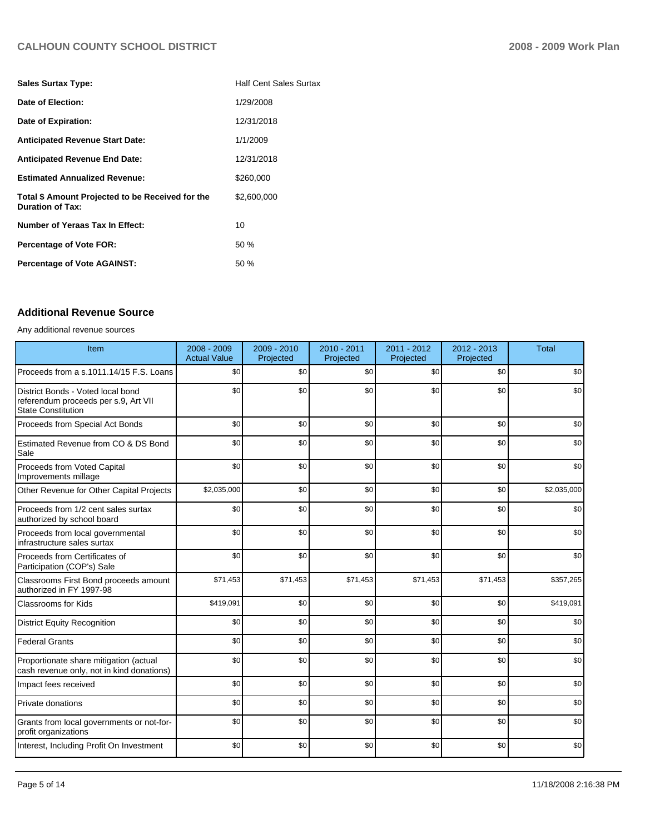## **CALHOUN COUNTY SCHOOL DISTRICT 2008 - 2009 Work Plan**

| <b>Sales Surtax Type:</b>                                                   | <b>Half Cent Sales Surtax</b> |
|-----------------------------------------------------------------------------|-------------------------------|
| Date of Election:                                                           | 1/29/2008                     |
| Date of Expiration:                                                         | 12/31/2018                    |
| <b>Anticipated Revenue Start Date:</b>                                      | 1/1/2009                      |
| <b>Anticipated Revenue End Date:</b>                                        | 12/31/2018                    |
| <b>Estimated Annualized Revenue:</b>                                        | \$260,000                     |
| Total \$ Amount Projected to be Received for the<br><b>Duration of Tax:</b> | \$2,600,000                   |
| Number of Yeraas Tax In Effect:                                             | 10                            |
| <b>Percentage of Vote FOR:</b>                                              | 50 %                          |
| <b>Percentage of Vote AGAINST:</b>                                          | 50 %                          |

## **Additional Revenue Source**

Any additional revenue sources

| Item                                                                                                   | 2008 - 2009<br><b>Actual Value</b> | $2009 - 2010$<br>Projected | $2010 - 2011$<br>Projected | 2011 - 2012<br>Projected | 2012 - 2013<br>Projected | <b>Total</b> |
|--------------------------------------------------------------------------------------------------------|------------------------------------|----------------------------|----------------------------|--------------------------|--------------------------|--------------|
| Proceeds from a s.1011.14/15 F.S. Loans                                                                | \$0                                | \$0                        | \$0                        | \$0                      | \$0                      | \$0          |
| District Bonds - Voted local bond<br>referendum proceeds per s.9, Art VII<br><b>State Constitution</b> | \$0                                | \$0                        | \$0                        | \$0                      | \$0                      | \$0          |
| Proceeds from Special Act Bonds                                                                        | \$0                                | \$0                        | \$0                        | \$0                      | \$0                      | \$0          |
| Estimated Revenue from CO & DS Bond<br>Sale                                                            | \$0                                | \$0                        | \$0                        | \$0                      | \$0                      | \$0          |
| <b>Proceeds from Voted Capital</b><br>Improvements millage                                             | \$0                                | \$0                        | \$0                        | \$0                      | \$0                      | \$0          |
| Other Revenue for Other Capital Projects                                                               | \$2,035,000                        | \$0                        | \$0                        | \$0                      | \$0                      | \$2,035,000  |
| Proceeds from 1/2 cent sales surtax<br>authorized by school board                                      | \$0                                | \$0                        | \$0                        | \$0                      | \$0                      | \$0          |
| Proceeds from local governmental<br>infrastructure sales surtax                                        | \$0                                | \$0                        | \$0                        | \$0                      | \$0                      | \$0          |
| Proceeds from Certificates of<br>Participation (COP's) Sale                                            | \$0                                | \$0                        | \$0                        | \$0                      | \$0                      | \$0          |
| Classrooms First Bond proceeds amount<br>authorized in FY 1997-98                                      | \$71,453                           | \$71,453                   | \$71,453                   | \$71,453                 | \$71,453                 | \$357,265    |
| Classrooms for Kids                                                                                    | \$419,091                          | \$0                        | \$0                        | \$0                      | \$0                      | \$419,091    |
| <b>District Equity Recognition</b>                                                                     | \$0                                | \$0                        | \$0                        | \$0                      | \$0                      | \$0          |
| <b>Federal Grants</b>                                                                                  | \$0                                | \$0                        | \$0                        | \$0                      | \$0                      | \$0          |
| Proportionate share mitigation (actual<br>cash revenue only, not in kind donations)                    | \$0                                | \$0                        | \$0                        | \$0                      | \$0                      | \$0          |
| Impact fees received                                                                                   | \$0                                | \$0                        | \$0                        | \$0                      | \$0                      | \$0          |
| <b>Private donations</b>                                                                               | \$0                                | \$0                        | \$0                        | \$0                      | \$0                      | \$0          |
| Grants from local governments or not-for-<br>profit organizations                                      | \$0                                | \$0                        | \$0                        | \$0                      | \$0                      | \$0          |
| Interest, Including Profit On Investment                                                               | \$0                                | \$0                        | \$0                        | \$0                      | \$0                      | \$0          |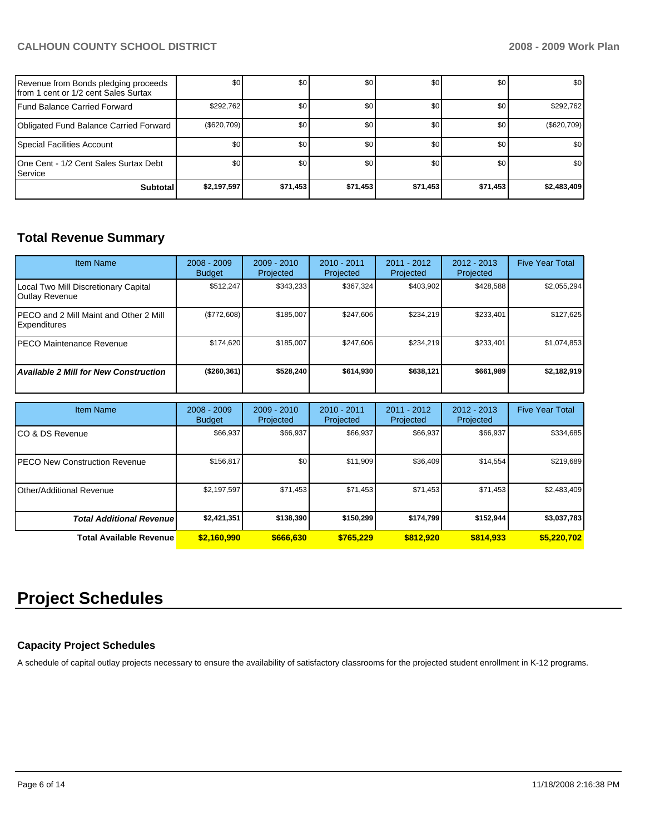## **CALHOUN COUNTY SCHOOL DISTRICT 2008 - 2009 Work Plan**

| Revenue from Bonds pledging proceeds<br>from 1 cent or 1/2 cent Sales Surtax | \$0         | \$0      | \$0      | \$0              | \$0              | \$0              |
|------------------------------------------------------------------------------|-------------|----------|----------|------------------|------------------|------------------|
| Fund Balance Carried Forward                                                 | \$292,762   | \$0      | \$0      | \$0 <sub>1</sub> | <b>SO</b>        | \$292,762        |
| Obligated Fund Balance Carried Forward                                       | (\$620,709) | \$0      | \$0      | \$0              | <b>SO</b>        | $(\$620,709)$    |
| Special Facilities Account                                                   | \$0         | \$0      | \$0      | \$0              | \$0 <sub>1</sub> | \$0 <sub>1</sub> |
| 10ne Cent - 1/2 Cent Sales Surtax Debt<br><b>I</b> Service                   | \$0         | \$0      | \$0      | \$0              | \$0              | \$0              |
| <b>Subtotal</b>                                                              | \$2,197,597 | \$71,453 | \$71,453 | \$71,453         | \$71,453         | \$2,483,409      |

## **Total Revenue Summary**

| <b>Item Name</b>                                        | $2008 - 2009$<br><b>Budget</b> | $2009 - 2010$<br>Projected | $2010 - 2011$<br>Projected | 2011 - 2012<br>Projected | $2012 - 2013$<br>Projected | <b>Five Year Total</b> |
|---------------------------------------------------------|--------------------------------|----------------------------|----------------------------|--------------------------|----------------------------|------------------------|
| Local Two Mill Discretionary Capital<br>Outlay Revenue  | \$512,247                      | \$343,233                  | \$367.324                  | \$403,902                | \$428,588                  | \$2,055,294            |
| IPECO and 2 Mill Maint and Other 2 Mill<br>Expenditures | (\$772,608)                    | \$185.007                  | \$247.606                  | \$234.219                | \$233.401                  | \$127.625              |
| IPECO Maintenance Revenue                               | \$174.620                      | \$185.007                  | \$247.606                  | \$234.219                | \$233,401                  | \$1,074,853            |
| <b>Available 2 Mill for New Construction</b>            | (\$260,361)                    | \$528.240                  | \$614.930                  | \$638.121                | \$661,989                  | \$2,182,919            |

| <b>Item Name</b>                      | $2008 - 2009$<br><b>Budget</b> | $2009 - 2010$<br>Projected | $2010 - 2011$<br>Projected | 2011 - 2012<br>Projected | $2012 - 2013$<br>Projected | <b>Five Year Total</b> |
|---------------------------------------|--------------------------------|----------------------------|----------------------------|--------------------------|----------------------------|------------------------|
| ICO & DS Revenue                      | \$66,937                       | \$66,937                   | \$66,937                   | \$66,937                 | \$66,937                   | \$334,685              |
| <b>IPECO New Construction Revenue</b> | \$156,817                      | \$0                        | \$11,909                   | \$36,409                 | \$14,554                   | \$219,689              |
| IOther/Additional Revenue             | \$2,197,597                    | \$71,453                   | \$71,453                   | \$71,453                 | \$71,453                   | \$2,483,409            |
| <b>Total Additional Revenue</b>       | \$2,421,351                    | \$138,390                  | \$150,299                  | \$174,799                | \$152,944                  | \$3,037,783            |
| <b>Total Available Revenue</b>        | \$2,160,990                    | \$666,630                  | \$765.229                  | \$812,920                | \$814,933                  | \$5,220,702            |

# **Project Schedules**

## **Capacity Project Schedules**

A schedule of capital outlay projects necessary to ensure the availability of satisfactory classrooms for the projected student enrollment in K-12 programs.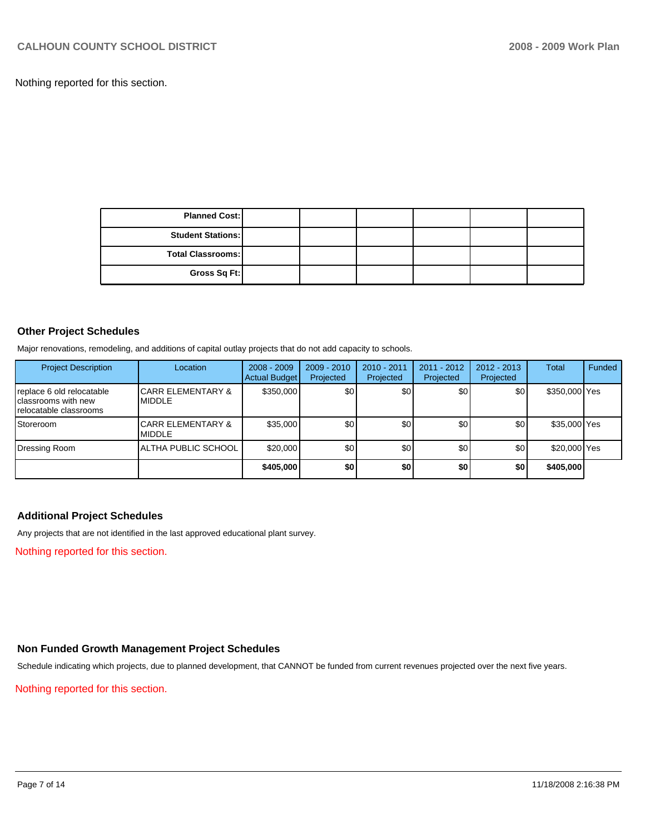Nothing reported for this section.

| <b>Planned Cost:</b>     |  |  |  |
|--------------------------|--|--|--|
| <b>Student Stations:</b> |  |  |  |
| <b>Total Classrooms:</b> |  |  |  |
| Gross Sq Ft:             |  |  |  |

#### **Other Project Schedules**

Major renovations, remodeling, and additions of capital outlay projects that do not add capacity to schools.

| <b>Project Description</b>                                                  | Location                                      | $2008 - 2009$<br>Actual Budget | $2009 - 2010$<br>Projected | 2010 - 2011<br>Projected | 2011 - 2012<br>Projected | $2012 - 2013$<br>Projected | Total         | Funded |
|-----------------------------------------------------------------------------|-----------------------------------------------|--------------------------------|----------------------------|--------------------------|--------------------------|----------------------------|---------------|--------|
| replace 6 old relocatable<br>Iclassrooms with new<br>relocatable classrooms | <b>CARR ELEMENTARY &amp;</b><br><b>MIDDLE</b> | \$350,000                      | \$0                        | \$0 <sub>1</sub>         | \$0                      | \$0                        | \$350,000 Yes |        |
| Storeroom                                                                   | <b>CARR ELEMENTARY &amp;</b><br><b>MIDDLE</b> | \$35,000                       | \$0                        | \$0 <sub>1</sub>         | \$0                      | \$0                        | \$35,000 Yes  |        |
| Dressing Room                                                               | ALTHA PUBLIC SCHOOL                           | \$20,000                       | \$0 <sub>1</sub>           | \$0 <sub>1</sub>         | \$0                      | \$0                        | \$20,000 Yes  |        |
|                                                                             |                                               | \$405,000                      | \$0                        | \$0                      | \$0                      | \$0                        | \$405,000     |        |

## **Additional Project Schedules**

Any projects that are not identified in the last approved educational plant survey.

Nothing reported for this section.

## **Non Funded Growth Management Project Schedules**

Schedule indicating which projects, due to planned development, that CANNOT be funded from current revenues projected over the next five years.

Nothing reported for this section.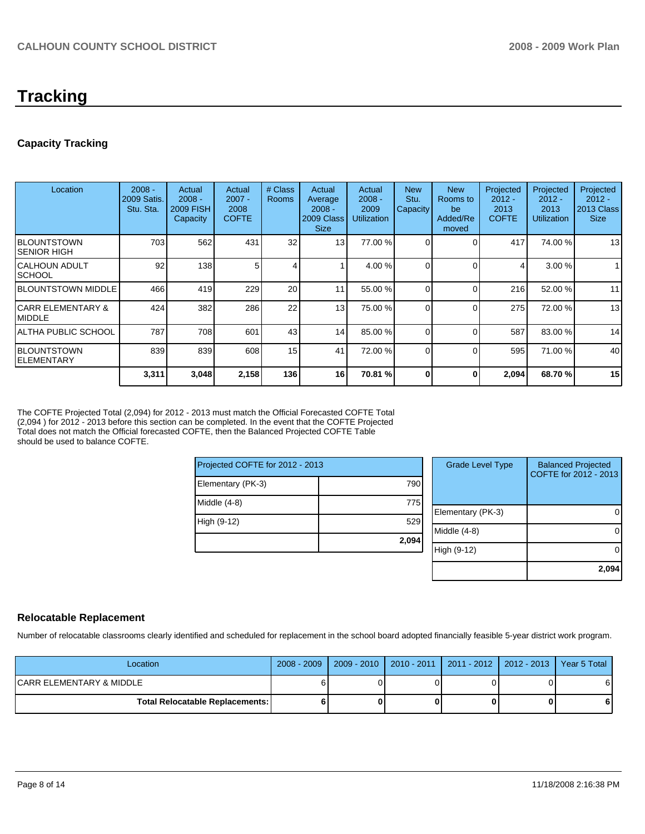## **Tracking**

## **Capacity Tracking**

| Location                      | $2008 -$<br>2009 Satis.<br>Stu. Sta. | Actual<br>$2008 -$<br><b>2009 FISH</b><br><b>Capacity</b> | Actual<br>$2007 -$<br>2008<br><b>COFTE</b> | # Class<br><b>Rooms</b> | Actual<br>Average<br>$2008 -$<br>2009 Class<br><b>Size</b> | Actual<br>$2008 -$<br>2009<br><b>Utilization</b> | <b>New</b><br>Stu.<br>Capacity | <b>New</b><br>Rooms to<br>be<br>Added/Re<br>moved | Projected<br>$2012 -$<br>2013<br><b>COFTE</b> | Projected<br>$2012 -$<br>2013<br><b>Utilization</b> | Projected<br>$2012 -$<br>2013 Class<br><b>Size</b> |
|-------------------------------|--------------------------------------|-----------------------------------------------------------|--------------------------------------------|-------------------------|------------------------------------------------------------|--------------------------------------------------|--------------------------------|---------------------------------------------------|-----------------------------------------------|-----------------------------------------------------|----------------------------------------------------|
| IBLOUNTSTOWN<br>ISENIOR HIGH  | 703                                  | 562                                                       | 431                                        | 32                      | 13                                                         | 77.00 %                                          |                                | $\Omega$                                          | 417                                           | 74.00 %                                             | 13                                                 |
| ICALHOUN ADULT<br>ISCHOOL     | 92                                   | 138                                                       |                                            | 4                       |                                                            | 4.00 %                                           |                                | $\Omega$                                          | 4                                             | 3.00 %                                              |                                                    |
| <b>IBLOUNTSTOWN MIDDLE</b>    | 466                                  | 419                                                       | 229                                        | 20                      | 11                                                         | 55.00 %                                          |                                | $\Omega$                                          | 216                                           | 52.00 %                                             | 11                                                 |
| ICARR ELEMENTARY &<br>IMIDDLE | 424                                  | 382                                                       | 286                                        | 22                      | 13                                                         | 75.00 %                                          |                                | $\Omega$                                          | 275                                           | 72.00 %                                             | 13                                                 |
| IALTHA PUBLIC SCHOOL          | 787                                  | 708                                                       | 601                                        | 43                      | 14                                                         | 85.00 %                                          |                                | $\Omega$                                          | 587                                           | 83.00 %                                             | 14                                                 |
| IBLOUNTSTOWN<br>lelementary   | 839                                  | 839                                                       | 608                                        | 15                      | 41                                                         | 72.00 %                                          | 0                              | $\Omega$                                          | 595                                           | 71.00 %                                             | 40                                                 |
|                               | 3,311                                | 3,048                                                     | 2,158                                      | 136                     | 16                                                         | 70.81 %                                          | 0                              | 0                                                 | 2,094                                         | 68.70%                                              | 15                                                 |

The COFTE Projected Total (2,094) for 2012 - 2013 must match the Official Forecasted COFTE Total (2,094 ) for 2012 - 2013 before this section can be completed. In the event that the COFTE Projected Total does not match the Official forecasted COFTE, then the Balanced Projected COFTE Table should be used to balance COFTE.

| Projected COFTE for 2012 - 2013 |       |  |  |  |  |
|---------------------------------|-------|--|--|--|--|
| Elementary (PK-3)               | 790   |  |  |  |  |
| Middle (4-8)                    | 775   |  |  |  |  |
| High (9-12)                     | 529   |  |  |  |  |
|                                 | 2,094 |  |  |  |  |

| <b>Grade Level Type</b> | <b>Balanced Projected</b><br>COFTE for 2012 - 2013 |
|-------------------------|----------------------------------------------------|
| Elementary (PK-3)       |                                                    |
| Middle (4-8)            |                                                    |
| High (9-12)             |                                                    |
|                         | 2,09                                               |

#### **Relocatable Replacement**

Number of relocatable classrooms clearly identified and scheduled for replacement in the school board adopted financially feasible 5-year district work program.

| Location                                 | $2008 - 2009$ |  | 2009 - 2010   2010 - 2011   2011 - 2012   2012 - 2013   Year 5 Total |    |
|------------------------------------------|---------------|--|----------------------------------------------------------------------|----|
| ICARR ELEMENTARY & MIDDLE                | 6             |  |                                                                      | 61 |
| <b>Total Relocatable Replacements: I</b> |               |  |                                                                      | 61 |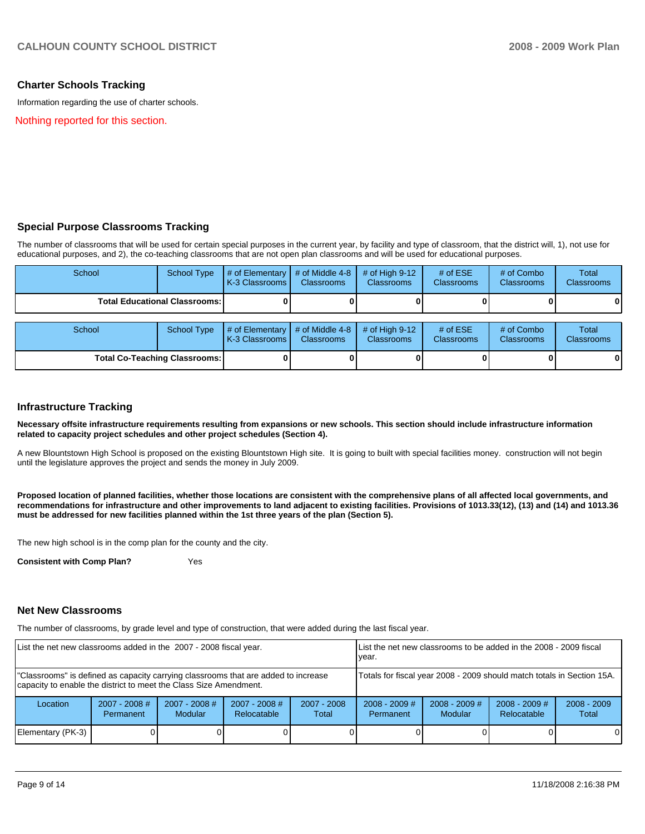## **Charter Schools Tracking**

Information regarding the use of charter schools.

Nothing reported for this section.

#### **Special Purpose Classrooms Tracking**

The number of classrooms that will be used for certain special purposes in the current year, by facility and type of classroom, that the district will, 1), not use for educational purposes, and 2), the co-teaching classrooms that are not open plan classrooms and will be used for educational purposes.

| School                               | <b>School Type</b>                   | # of Elementary<br>K-3 Classrooms | # of Middle 4-8<br><b>Classrooms</b> | # of High $9-12$<br><b>Classrooms</b> | # of $ESE$<br><b>Classrooms</b> | # of Combo<br><b>Classrooms</b> | Total<br><b>Classrooms</b> |
|--------------------------------------|--------------------------------------|-----------------------------------|--------------------------------------|---------------------------------------|---------------------------------|---------------------------------|----------------------------|
| <b>Total Educational Classrooms:</b> |                                      |                                   |                                      |                                       |                                 |                                 | 01                         |
| School                               | <b>School Type</b>                   | # of Elementary<br>K-3 Classrooms | # of Middle 4-8<br><b>Classrooms</b> | # of High $9-12$<br><b>Classrooms</b> | # of $ESE$<br><b>Classrooms</b> | # of Combo<br><b>Classrooms</b> | Total<br><b>Classrooms</b> |
|                                      | <b>Total Co-Teaching Classrooms:</b> |                                   |                                      |                                       |                                 |                                 | 01                         |

#### **Infrastructure Tracking**

**Necessary offsite infrastructure requirements resulting from expansions or new schools. This section should include infrastructure information related to capacity project schedules and other project schedules (Section 4).** 

A new Blountstown High School is proposed on the existing Blountstown High site. It is going to built with special facilities money. construction will not begin until the legislature approves the project and sends the money in July 2009.

**Proposed location of planned facilities, whether those locations are consistent with the comprehensive plans of all affected local governments, and recommendations for infrastructure and other improvements to land adjacent to existing facilities. Provisions of 1013.33(12), (13) and (14) and 1013.36 must be addressed for new facilities planned within the 1st three years of the plan (Section 5).** 

The new high school is in the comp plan for the county and the city.

**Consistent with Comp Plan?** Yes

### **Net New Classrooms**

The number of classrooms, by grade level and type of construction, that were added during the last fiscal year.

| List the net new classrooms added in the 2007 - 2008 fiscal year.                                                                                       | List the net new classrooms to be added in the 2008 - 2009 fiscal<br>year. |                                   |                                |                        |                                                                        |                                   |                                |                        |  |
|---------------------------------------------------------------------------------------------------------------------------------------------------------|----------------------------------------------------------------------------|-----------------------------------|--------------------------------|------------------------|------------------------------------------------------------------------|-----------------------------------|--------------------------------|------------------------|--|
| "Classrooms" is defined as capacity carrying classrooms that are added to increase<br>capacity to enable the district to meet the Class Size Amendment. |                                                                            |                                   |                                |                        | Totals for fiscal year 2008 - 2009 should match totals in Section 15A. |                                   |                                |                        |  |
| Location                                                                                                                                                | $2007 - 2008$ #<br>Permanent                                               | $2007 - 2008$ #<br><b>Modular</b> | $2007 - 2008$ #<br>Relocatable | $2007 - 2008$<br>Total | $2008 - 2009$ #<br>Permanent                                           | $2008 - 2009$ #<br><b>Modular</b> | $2008 - 2009$ #<br>Relocatable | $2008 - 2009$<br>Total |  |
| Elementary (PK-3)                                                                                                                                       |                                                                            |                                   |                                |                        |                                                                        |                                   |                                | $\Omega$               |  |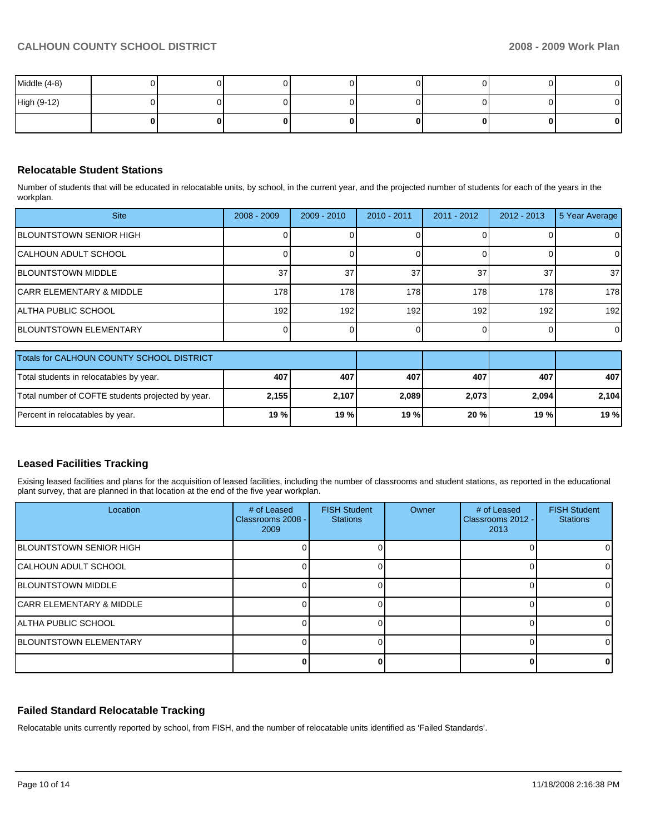| Middle (4-8) |  |  |  |  |
|--------------|--|--|--|--|
| High (9-12)  |  |  |  |  |
|              |  |  |  |  |

## **Relocatable Student Stations**

Number of students that will be educated in relocatable units, by school, in the current year, and the projected number of students for each of the years in the workplan.

| <b>Site</b>                                       | $2008 - 2009$ | $2009 - 2010$ | 2010 - 2011  | 2011 - 2012 | $2012 - 2013$ | 5 Year Average  |  |  |
|---------------------------------------------------|---------------|---------------|--------------|-------------|---------------|-----------------|--|--|
| IBLOUNTSTOWN SENIOR HIGH                          |               |               |              |             |               | 0               |  |  |
| CALHOUN ADULT SCHOOL                              |               |               |              |             |               | 0               |  |  |
| <b>IBLOUNTSTOWN MIDDLE</b>                        | 37            | 37            | 37           | 37          | 37            | 37 <sup>l</sup> |  |  |
| CARR ELEMENTARY & MIDDLE                          | 178           | 178           | 178          | 178         | 178           | 178             |  |  |
| IALTHA PUBLIC SCHOOL                              | 192           | 192           | 192          | 192         | 192           | 192             |  |  |
| <b>BLOUNTSTOWN ELEMENTARY</b>                     |               |               | <sup>0</sup> | $\Omega$    |               | $\Omega$        |  |  |
| Totals for CALHOUN COUNTY SCHOOL DISTRICT         |               |               |              |             |               |                 |  |  |
| Total students in relocatables by year.           | 407           | 407           | 407          | 407         | 407           | 407             |  |  |
| Total number of COFTE students projected by year. | 2,155         | 2,107         | 2,089        | 2,073       | 2,094         | 2,104           |  |  |
| Percent in relocatables by year.                  | 19 %          | 19 %          | 19 %         | 20 %        | 19 %          | 19 %            |  |  |

## **Leased Facilities Tracking**

Exising leased facilities and plans for the acquisition of leased facilities, including the number of classrooms and student stations, as reported in the educational plant survey, that are planned in that location at the end of the five year workplan.

| Location                            | # of Leased<br>Classrooms 2008 -<br>2009 | <b>FISH Student</b><br><b>Stations</b> | Owner | # of Leased<br>Classrooms 2012 -<br>2013 | <b>FISH Student</b><br><b>Stations</b> |
|-------------------------------------|------------------------------------------|----------------------------------------|-------|------------------------------------------|----------------------------------------|
| <b>BLOUNTSTOWN SENIOR HIGH</b>      |                                          |                                        |       |                                          |                                        |
| ICALHOUN ADULT SCHOOL               |                                          |                                        |       |                                          |                                        |
| <b>IBLOUNTSTOWN MIDDLE</b>          |                                          |                                        |       |                                          |                                        |
| <b>CARR ELEMENTARY &amp; MIDDLE</b> |                                          |                                        |       |                                          |                                        |
| <b>ALTHA PUBLIC SCHOOL</b>          |                                          |                                        |       |                                          |                                        |
| <b>BLOUNTSTOWN ELEMENTARY</b>       |                                          |                                        |       |                                          |                                        |
|                                     |                                          |                                        |       |                                          |                                        |

#### **Failed Standard Relocatable Tracking**

Relocatable units currently reported by school, from FISH, and the number of relocatable units identified as 'Failed Standards'.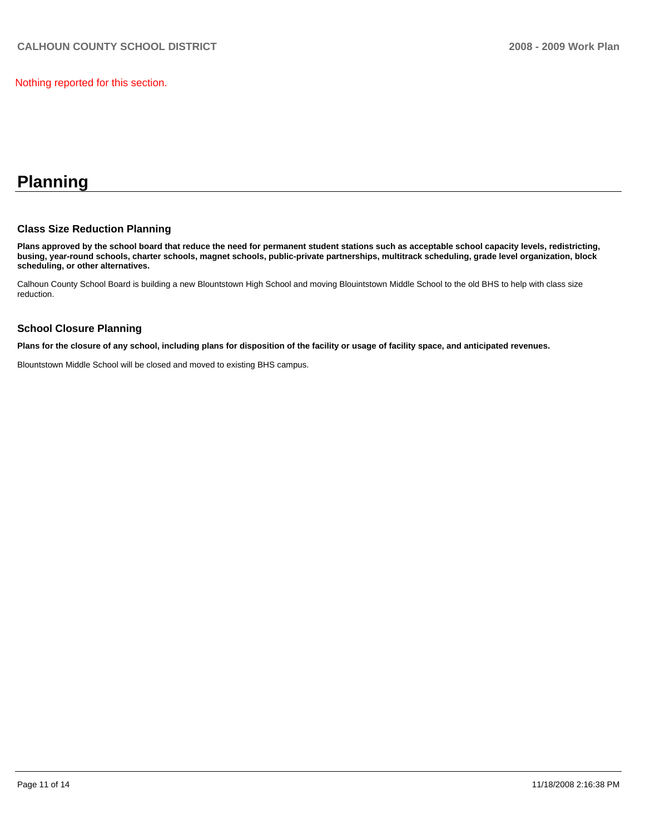Nothing reported for this section.

## **Planning**

## **Class Size Reduction Planning**

**Plans approved by the school board that reduce the need for permanent student stations such as acceptable school capacity levels, redistricting, busing, year-round schools, charter schools, magnet schools, public-private partnerships, multitrack scheduling, grade level organization, block scheduling, or other alternatives.** 

Calhoun County School Board is building a new Blountstown High School and moving Blouintstown Middle School to the old BHS to help with class size reduction.

## **School Closure Planning**

**Plans for the closure of any school, including plans for disposition of the facility or usage of facility space, and anticipated revenues.** 

Blountstown Middle School will be closed and moved to existing BHS campus.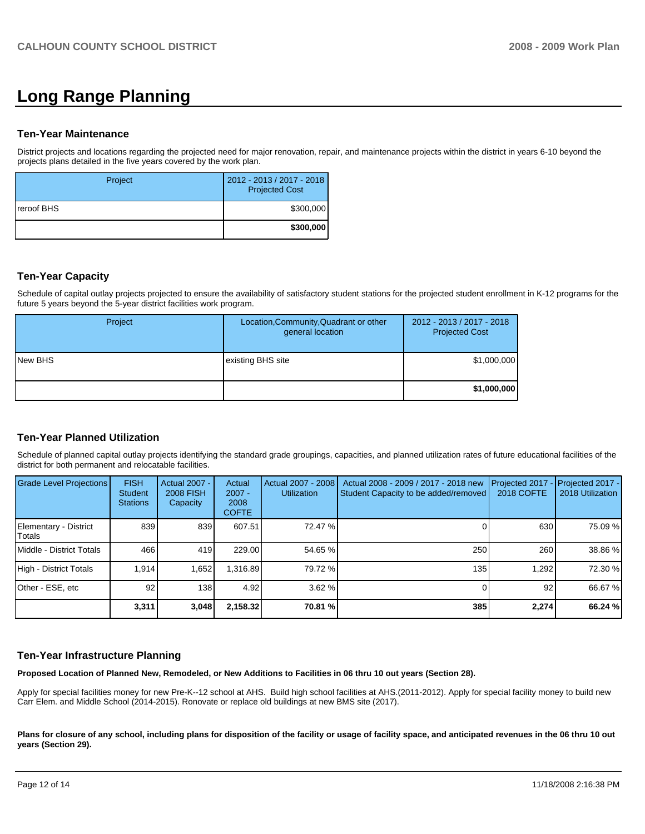## **Long Range Planning**

#### **Ten-Year Maintenance**

District projects and locations regarding the projected need for major renovation, repair, and maintenance projects within the district in years 6-10 beyond the projects plans detailed in the five years covered by the work plan.

| Project     | 2012 - 2013 / 2017 - 2018<br><b>Projected Cost</b> |
|-------------|----------------------------------------------------|
| Ireroof BHS | \$300,000                                          |
|             | \$300,000                                          |

## **Ten-Year Capacity**

Schedule of capital outlay projects projected to ensure the availability of satisfactory student stations for the projected student enrollment in K-12 programs for the future 5 years beyond the 5-year district facilities work program.

| Project        | Location, Community, Quadrant or other<br>general location | 2012 - 2013 / 2017 - 2018<br><b>Projected Cost</b> |
|----------------|------------------------------------------------------------|----------------------------------------------------|
| <b>New BHS</b> | existing BHS site                                          | \$1,000,000                                        |
|                |                                                            | \$1,000,000                                        |

## **Ten-Year Planned Utilization**

Schedule of planned capital outlay projects identifying the standard grade groupings, capacities, and planned utilization rates of future educational facilities of the district for both permanent and relocatable facilities.

| Grade Level Projections         | <b>FISH</b><br>Student<br><b>Stations</b> | <b>Actual 2007 -</b><br><b>2008 FISH</b><br>Capacity | Actual<br>$2007 -$<br>2008<br><b>COFTE</b> | Actual 2007 - 2008<br><b>Utilization</b> | Actual 2008 - 2009 / 2017 - 2018 new<br>Student Capacity to be added/removed | Projected 2017<br><b>2018 COFTE</b> | $\lvert$ - Projected 2017 -<br>2018 Utilization |
|---------------------------------|-------------------------------------------|------------------------------------------------------|--------------------------------------------|------------------------------------------|------------------------------------------------------------------------------|-------------------------------------|-------------------------------------------------|
| Elementary - District<br>Totals | 839                                       | 839                                                  | 607.51                                     | 72.47 %                                  |                                                                              | 630                                 | 75.09 %                                         |
| Middle - District Totals        | 466                                       | 419                                                  | 229.00                                     | 54.65 %                                  | 250                                                                          | 260                                 | 38.86 %                                         |
| High - District Totals          | 1.914                                     | 1.652                                                | .316.89                                    | 79.72 %                                  | 135                                                                          | 1.292                               | 72.30 %                                         |
| Other - ESE, etc                | 92                                        | 138                                                  | 4.92                                       | 3.62%                                    |                                                                              | 92                                  | 66.67 %                                         |
|                                 | 3,311                                     | 3,048                                                | 2,158.32                                   | 70.81 %                                  | 385                                                                          | 2,274                               | 66.24 %                                         |

#### **Ten-Year Infrastructure Planning**

**Proposed Location of Planned New, Remodeled, or New Additions to Facilities in 06 thru 10 out years (Section 28).** 

Apply for special facilities money for new Pre-K--12 school at AHS. Build high school facilities at AHS.(2011-2012). Apply for special facility money to build new Carr Elem. and Middle School (2014-2015). Ronovate or replace old buildings at new BMS site (2017).

Plans for closure of any school, including plans for disposition of the facility or usage of facility space, and anticipated revenues in the 06 thru 10 out **years (Section 29).**